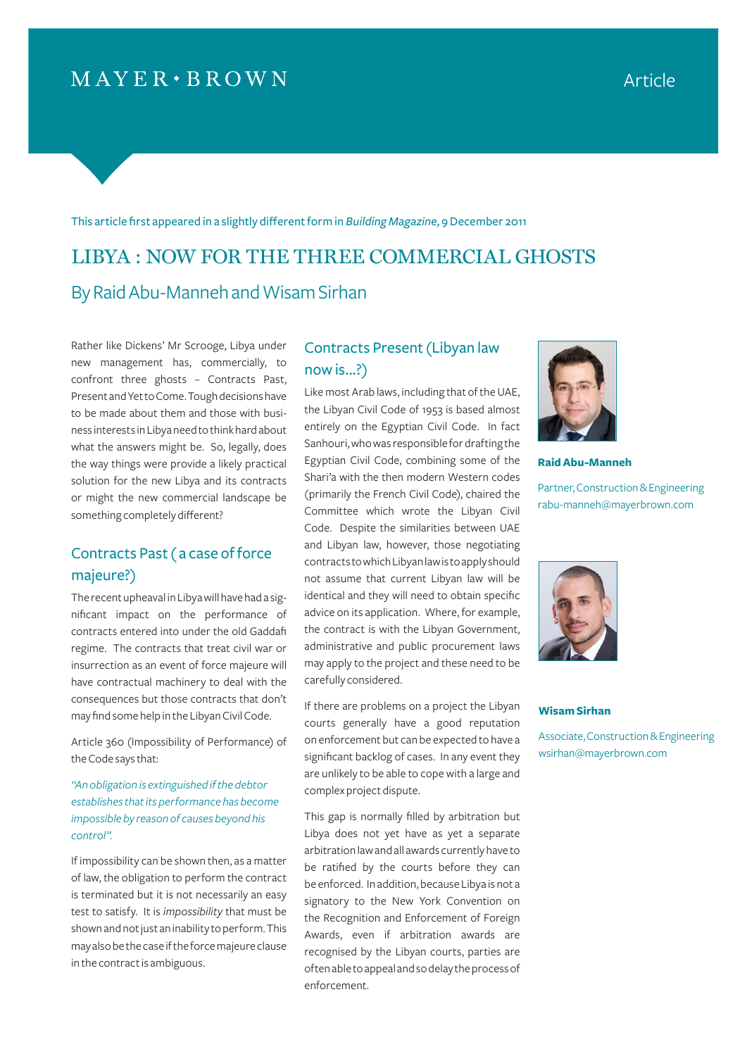## $MAYER \cdot BROWN$

This article first appeared in a slightly different form in *Building Magazine*, 9 December 2011

# LIBYA : NOW FOR THE THREE COMMERCIAL GHOSTS By Raid Abu-Manneh and Wisam Sirhan

Rather like Dickens' Mr Scrooge, Libya under new management has, commercially, to confront three ghosts – Contracts Past, Present and Yet to Come. Tough decisions have to be made about them and those with business interests in Libya need to think hard about what the answers might be. So, legally, does the way things were provide a likely practical solution for the new Libya and its contracts or might the new commercial landscape be something completely different?

## Contracts Past ( a case of force majeure?)

The recent upheaval in Libya will have had a significant impact on the performance of contracts entered into under the old Gaddafi regime. The contracts that treat civil war or insurrection as an event of force majeure will have contractual machinery to deal with the consequences but those contracts that don't may find some help in the Libyan Civil Code.

Article 360 (Impossibility of Performance) of the Code says that:

*"An obligation is extinguished if the debtor establishes that its performance has become impossible by reason of causes beyond his control".* 

If impossibility can be shown then, as a matter of law, the obligation to perform the contract is terminated but it is not necessarily an easy test to satisfy. It is *impossibility* that must be shown and not just an inability to perform. This may also be the case if the force majeure clause in the contract is ambiguous.

## Contracts Present (Libyan law now is...?)

Like most Arab laws, including that of the UAE, the Libyan Civil Code of 1953 is based almost entirely on the Egyptian Civil Code. In fact Sanhouri, who was responsible for drafting the Egyptian Civil Code, combining some of the Shari'a with the then modern Western codes (primarily the French Civil Code), chaired the Committee which wrote the Libyan Civil Code. Despite the similarities between UAE and Libyan law, however, those negotiating contracts to which Libyan law is to apply should not assume that current Libyan law will be identical and they will need to obtain specific advice on its application. Where, for example, the contract is with the Libyan Government, administrative and public procurement laws may apply to the project and these need to be carefully considered.

If there are problems on a project the Libyan courts generally have a good reputation on enforcement but can be expected to have a significant backlog of cases. In any event they are unlikely to be able to cope with a large and complex project dispute.

This gap is normally filled by arbitration but Libya does not yet have as yet a separate arbitration law and all awards currently have to be ratified by the courts before they can be enforced. In addition, because Libya is not a signatory to the New York Convention on the Recognition and Enforcement of Foreign Awards, even if arbitration awards are recognised by the Libyan courts, parties are often able to appeal and so delay the process of enforcement.



**Raid Abu-Manneh**

Partner, Construction & Engineering rabu-manneh@mayerbrown.com



#### **Wisam Sirhan**

Associate, Construction & Engineering wsirhan@mayerbrown.com